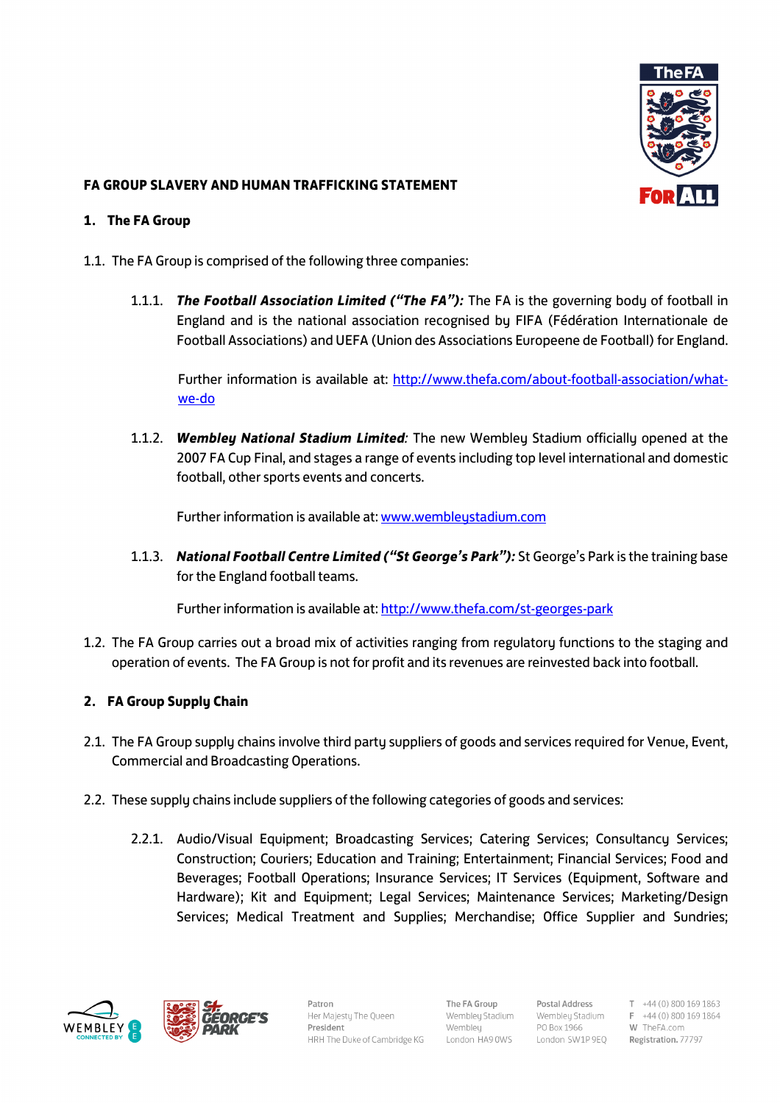

# **FA GROUP SLAVERY AND HUMAN TRAFFICKING STATEMENT**

### **1. The FA Group**

- 1.1. The FA Group is comprised of the following three companies:
	- 1.1.1. *The Football Association Limited ("The FA"):* The FA is the governing body of football in England and is the national association recognised by FIFA (Fédération Internationale de Football Associations) and UEFA (Union des Associations Europeene de Football) for England.

Further information is available at: [http://www.thefa.com/about-football-association/what](http://www.thefa.com/about-football-association/what-we-do)[we-do](http://www.thefa.com/about-football-association/what-we-do)

1.1.2. *Wembley National Stadium Limited:* The new Wembley Stadium officially opened at the 2007 FA Cup Final, and stages a range of events including top level international and domestic football, other sports events and concerts.

Further information is available at[: www.wembleystadium.com](http://www.wembleystadium.com/) 

1.1.3. *National Football Centre Limited ("St George's Park"):* St George's Park is the training base for the England football teams.

Further information is available at[: http://www.thefa.com/st-georges-park](http://www.thefa.com/st-georges-park)

1.2. The FA Group carries out a broad mix of activities ranging from regulatory functions to the staging and operation of events. The FA Group is not for profit and its revenues are reinvested back into football.

## **2. FA Group Supply Chain**

- 2.1. The FA Group supply chains involve third party suppliers of goods and services required for Venue, Event, Commercial and Broadcasting Operations.
- 2.2. These supply chains include suppliers of the following categories of goods and services:
	- 2.2.1. Audio/Visual Equipment; Broadcasting Services; Catering Services; Consultancy Services; Construction; Couriers; Education and Training; Entertainment; Financial Services; Food and Beverages; Football Operations; Insurance Services; IT Services (Equipment, Software and Hardware); Kit and Equipment; Legal Services; Maintenance Services; Marketing/Design Services; Medical Treatment and Supplies; Merchandise; Office Supplier and Sundries;





Patron Her Maiestu The Oueen President HRH The Duke of Cambridge KG

The FA Group Wembleu Stadium Wembley London HA9 0WS

Postal Address Wembleu Stadium PO Box 1966 London SW1P 9EQ

 $T +44(0)8001691863$  $F +44(0)8001691864$ W TheFA.com Registration. 77797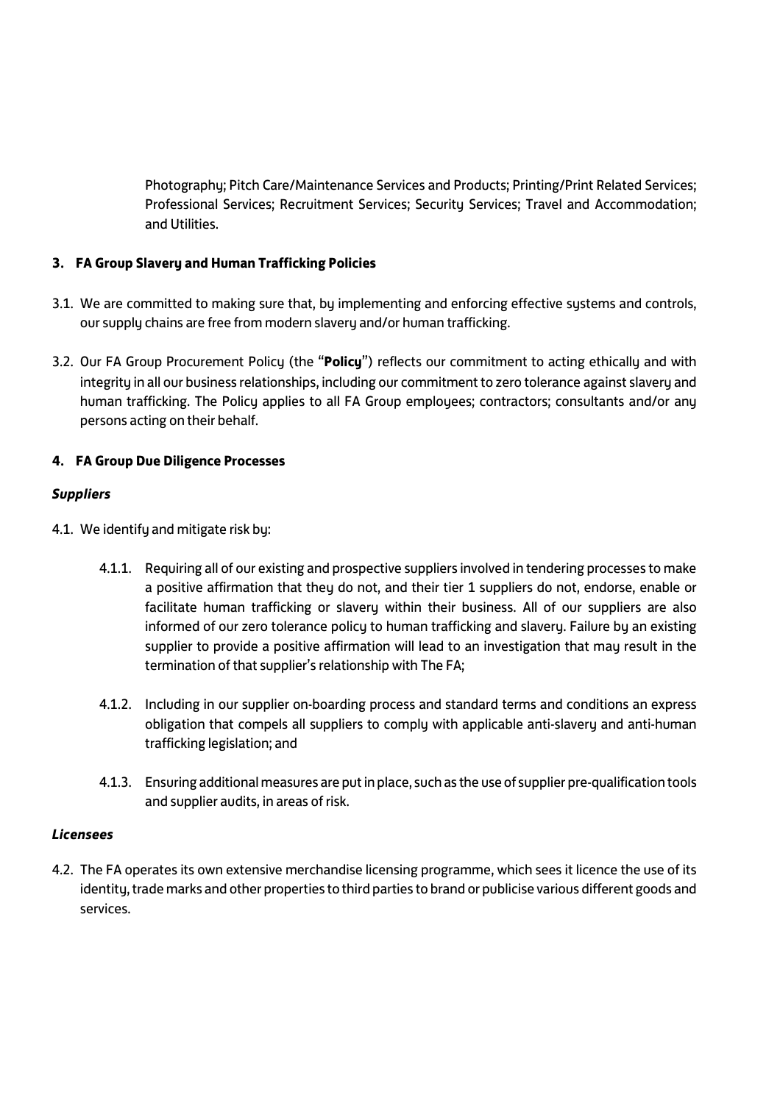Photography; Pitch Care/Maintenance Services and Products; Printing/Print Related Services; Professional Services; Recruitment Services; Security Services; Travel and Accommodation; and Utilities.

# **3. FA Group Slavery and Human Trafficking Policies**

- 3.1. We are committed to making sure that, by implementing and enforcing effective systems and controls, our supply chains are free from modern slavery and/or human trafficking.
- 3.2. Our FA Group Procurement Policy (the "**Policy**") reflects our commitment to acting ethically and with integrity in all our business relationships, including our commitment to zero tolerance against slavery and human trafficking. The Policy applies to all FA Group employees; contractors; consultants and/or any persons acting on their behalf.

## **4. FA Group Due Diligence Processes**

## *Suppliers*

- 4.1. We identify and mitigate risk by:
	- 4.1.1. Requiring all of our existing and prospective suppliers involved in tendering processes to make a positive affirmation that they do not, and their tier 1 suppliers do not, endorse, enable or facilitate human trafficking or slavery within their business. All of our suppliers are also informed of our zero tolerance policy to human trafficking and slavery. Failure by an existing supplier to provide a positive affirmation will lead to an investigation that may result in the termination of that supplier's relationship with The FA;
	- 4.1.2. Including in our supplier on-boarding process and standard terms and conditions an express obligation that compels all suppliers to comply with applicable anti-slavery and anti-human trafficking legislation; and
	- 4.1.3. Ensuring additional measures are put in place, such as the use of supplier pre-qualification tools and supplier audits, in areas of risk.

## *Licensees*

4.2. The FA operates its own extensive merchandise licensing programme, which sees it licence the use of its identity, trade marks and other properties to third parties to brand or publicise various different goods and services.